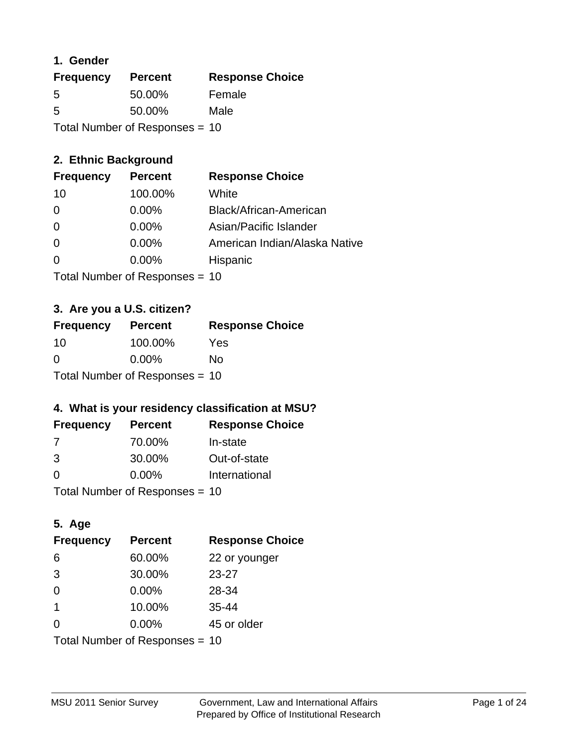### **1. Gender**

| <b>Frequency</b>               | <b>Percent</b> | <b>Response Choice</b> |
|--------------------------------|----------------|------------------------|
| 5                              | 50.00%         | Female                 |
| 5                              | 50.00%         | Male                   |
| Total Number of Responses = 10 |                |                        |

### **2. Ethnic Background**

| <b>Frequency</b> | <b>Percent</b> | <b>Response Choice</b>        |
|------------------|----------------|-------------------------------|
| 10               | 100.00%        | White                         |
| 0                | $0.00\%$       | Black/African-American        |
| 0                | $0.00\%$       | Asian/Pacific Islander        |
| 0                | 0.00%          | American Indian/Alaska Native |
| $\Omega$         | 0.00%          | Hispanic                      |
|                  |                |                               |

Total Number of Responses = 10

#### **3. Are you a U.S. citizen?**

| <b>Frequency</b>               | <b>Percent</b> | <b>Response Choice</b> |
|--------------------------------|----------------|------------------------|
| -10                            | 100.00%        | Yes                    |
| $\Omega$                       | $0.00\%$       | Nο                     |
| Total Number of Responses = 10 |                |                        |

### **4. What is your residency classification at MSU?**

| <b>Frequency</b> | <b>Percent</b> | <b>Response Choice</b> |
|------------------|----------------|------------------------|
| 7                | 70.00%         | In-state               |
| 3                | 30.00%         | Out-of-state           |
| $\Omega$         | $0.00\%$       | International          |
|                  |                |                        |

Total Number of Responses = 10

### **5. Age**

| <b>Frequency</b>               | <b>Percent</b> | <b>Response Choice</b> |
|--------------------------------|----------------|------------------------|
| 6                              | 60.00%         | 22 or younger          |
| 3                              | 30.00%         | $23 - 27$              |
| $\overline{0}$                 | $0.00\%$       | 28-34                  |
| $\overline{1}$                 | 10.00%         | $35 - 44$              |
| $\Omega$                       | 0.00%          | 45 or older            |
| Total Number of Responses = 10 |                |                        |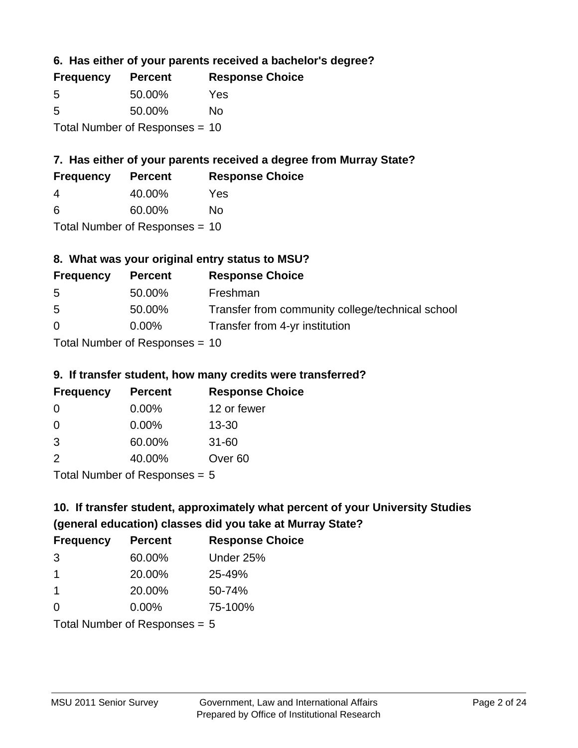**6. Has either of your parents received a bachelor's degree?**

| <b>Frequency</b> | <b>Percent</b>                   | <b>Response Choice</b> |
|------------------|----------------------------------|------------------------|
| 5                | 50.00%                           | Yes                    |
| .5               | 50.00%                           | Nο                     |
|                  | Total Number of Responses $= 10$ |                        |

### **7. Has either of your parents received a degree from Murray State?**

| <b>Frequency</b> | <b>Percent</b> | <b>Response Choice</b> |
|------------------|----------------|------------------------|
| 4                | 40.00%         | Yes                    |
| -6               | 60.00%         | No                     |

Total Number of Responses = 10

### **8. What was your original entry status to MSU?**

| <b>Frequency</b> | <b>Percent</b>               | <b>Response Choice</b>                           |
|------------------|------------------------------|--------------------------------------------------|
| 5                | 50.00%                       | Freshman                                         |
| 5                | 50.00%                       | Transfer from community college/technical school |
| $\Omega$         | $0.00\%$                     | Transfer from 4-yr institution                   |
|                  | Total Number of Deepensee 10 |                                                  |

Total Number of Responses = 10

### **9. If transfer student, how many credits were transferred?**

| <b>Frequency</b>            | <b>Percent</b> | <b>Response Choice</b> |
|-----------------------------|----------------|------------------------|
| 0                           | $0.00\%$       | 12 or fewer            |
| 0                           | $0.00\%$       | $13 - 30$              |
| -3                          | 60.00%         | $31 - 60$              |
| $\mathcal{P}$               | 40.00%         | Over <sub>60</sub>     |
| Total Number of Desponses E |                |                        |

Total Number of Responses = 5

# **10. If transfer student, approximately what percent of your University Studies (general education) classes did you take at Murray State?**

| <b>Frequency</b>              | <b>Percent</b> | <b>Response Choice</b> |
|-------------------------------|----------------|------------------------|
| 3                             | 60.00%         | Under 25%              |
| $\mathbf 1$                   | 20.00%         | 25-49%                 |
| $\mathbf 1$                   | 20.00%         | 50-74%                 |
| $\Omega$                      | $0.00\%$       | 75-100%                |
| $Total Number of Denance = 5$ |                |                        |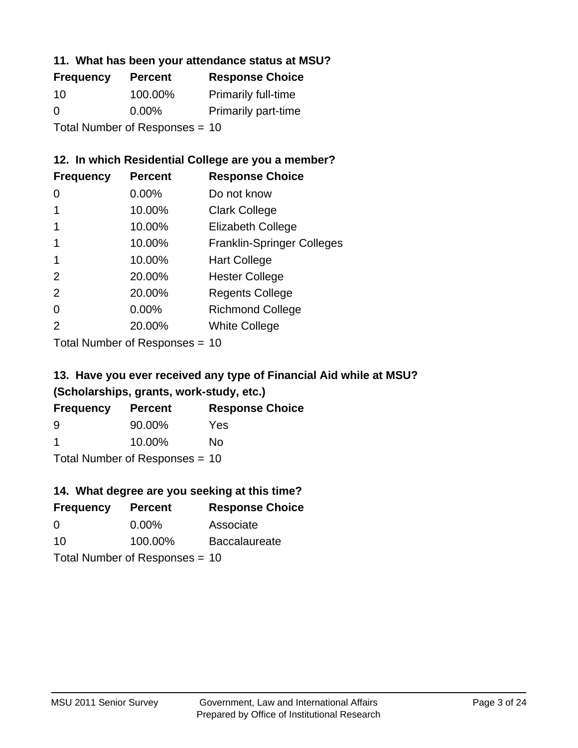#### **11. What has been your attendance status at MSU?**

| <b>Frequency</b>               | <b>Percent</b> | <b>Response Choice</b>     |
|--------------------------------|----------------|----------------------------|
| 10                             | 100.00%        | <b>Primarily full-time</b> |
| 0                              | $0.00\%$       | <b>Primarily part-time</b> |
| Total Number of Responses = 10 |                |                            |

### **12. In which Residential College are you a member?**

| <b>Frequency</b> | <b>Percent</b> | <b>Response Choice</b>            |
|------------------|----------------|-----------------------------------|
| 0                | $0.00\%$       | Do not know                       |
|                  | 10.00%         | <b>Clark College</b>              |
|                  | 10.00%         | <b>Elizabeth College</b>          |
|                  | 10.00%         | <b>Franklin-Springer Colleges</b> |
|                  | 10.00%         | <b>Hart College</b>               |
| $\mathcal{P}$    | 20.00%         | <b>Hester College</b>             |
| 2                | 20.00%         | <b>Regents College</b>            |
| 0                | 0.00%          | <b>Richmond College</b>           |
| $\mathcal{P}$    | 20.00%         | <b>White College</b>              |

Total Number of Responses = 10

### **13. Have you ever received any type of Financial Aid while at MSU? (Scholarships, grants, work-study, etc.)**

| <b>Frequency</b> | <b>Percent</b>                  | <b>Response Choice</b> |
|------------------|---------------------------------|------------------------|
| 9                | 90.00%                          | <b>Yes</b>             |
| -1               | 10.00%                          | Nο                     |
|                  | $Total Number of Denonese = 10$ |                        |

Total Number of Responses = 10

### **14. What degree are you seeking at this time?**

| <b>Frequency</b> | <b>Percent</b>                   | <b>Response Choice</b> |
|------------------|----------------------------------|------------------------|
| $\Omega$         | $0.00\%$                         | Associate              |
| 10               | 100.00%                          | <b>Baccalaureate</b>   |
|                  | Total Number of Responses = $10$ |                        |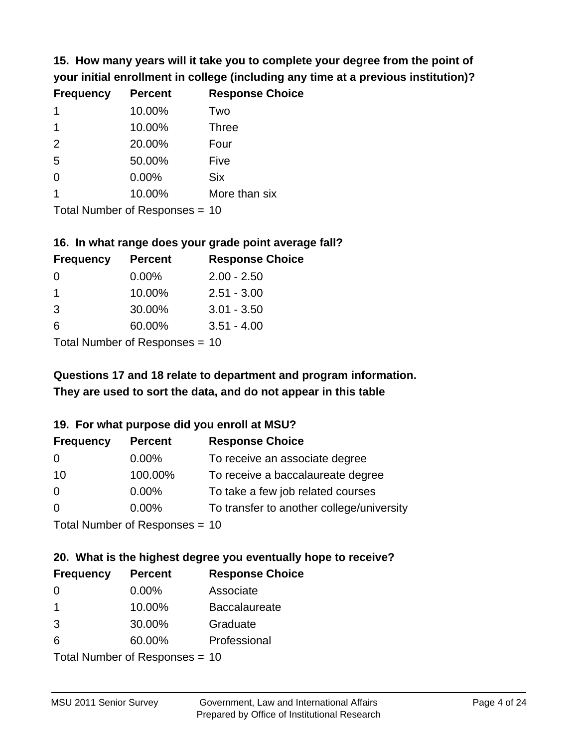**15. How many years will it take you to complete your degree from the point of your initial enrollment in college (including any time at a previous institution)?**

| <b>Frequency</b> | <b>Percent</b> | <b>Response Choice</b> |
|------------------|----------------|------------------------|
| $\mathbf 1$      | 10.00%         | Two                    |
| 1                | 10.00%         | <b>Three</b>           |
| 2                | 20.00%         | Four                   |
| 5                | 50.00%         | Five                   |
| 0                | 0.00%          | <b>Six</b>             |
|                  | 10.00%         | More than six          |
|                  |                |                        |

Total Number of Responses = 10

#### **16. In what range does your grade point average fall?**

| <b>Frequency</b> | <b>Percent</b> | <b>Response Choice</b> |
|------------------|----------------|------------------------|
| -0               | $0.00\%$       | $2.00 - 2.50$          |
| 1                | 10.00%         | $2.51 - 3.00$          |
| 3                | 30.00%         | $3.01 - 3.50$          |
| 6                | 60.00%         | $3.51 - 4.00$          |
|                  |                |                        |

Total Number of Responses = 10

# **They are used to sort the data, and do not appear in this table Questions 17 and 18 relate to department and program information.**

#### **19. For what purpose did you enroll at MSU?**

| <b>Frequency</b> | <b>Percent</b>                  | <b>Response Choice</b>                    |
|------------------|---------------------------------|-------------------------------------------|
| 0                | $0.00\%$                        | To receive an associate degree            |
| 10               | 100.00%                         | To receive a baccalaureate degree         |
| 0                | $0.00\%$                        | To take a few job related courses         |
| $\Omega$         | $0.00\%$                        | To transfer to another college/university |
|                  | Total Number of Reconnect $-10$ |                                           |

Total Number of Responses = 10

# **20. What is the highest degree you eventually hope to receive?**

| <b>Frequency</b> | <b>Percent</b>             | <b>Response Choice</b> |
|------------------|----------------------------|------------------------|
| 0                | $0.00\%$                   | Associate              |
| 1                | 10.00%                     | <b>Baccalaureate</b>   |
| 3                | 30.00%                     | Graduate               |
| 6                | 60.00%                     | Professional           |
|                  | Total Number of Deepersoon |                        |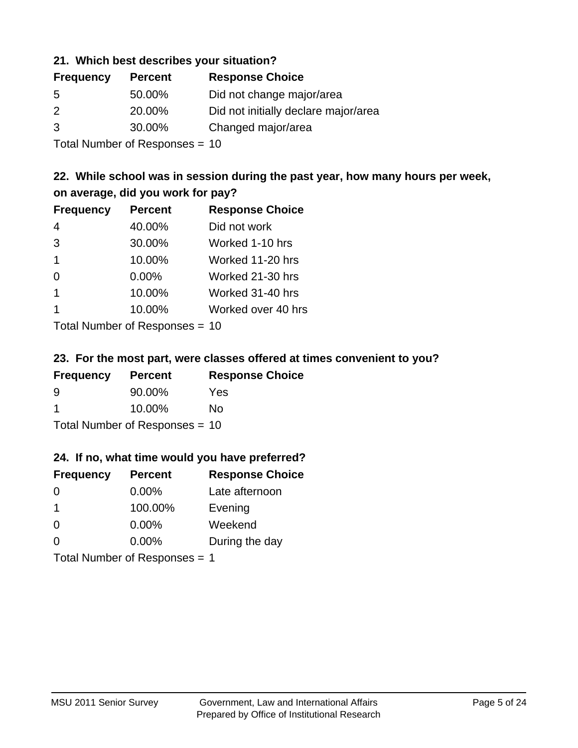#### **21. Which best describes your situation?**

| <b>Frequency</b> | <b>Percent</b> | <b>Response Choice</b>               |
|------------------|----------------|--------------------------------------|
| -5               | 50.00%         | Did not change major/area            |
| $\mathcal{P}$    | 20.00%         | Did not initially declare major/area |
| 3                | 30.00%         | Changed major/area                   |
|                  |                |                                      |

Total Number of Responses = 10

### **22. While school was in session during the past year, how many hours per week, on average, did you work for pay?**

| <b>Frequency</b> | <b>Percent</b> | <b>Response Choice</b> |
|------------------|----------------|------------------------|
| $\overline{4}$   | 40.00%         | Did not work           |
| 3                | 30.00%         | Worked 1-10 hrs        |
| $\mathbf 1$      | 10.00%         | Worked 11-20 hrs       |
| $\Omega$         | 0.00%          | Worked 21-30 hrs       |
| $\overline{1}$   | 10.00%         | Worked 31-40 hrs       |
|                  | 10.00%         | Worked over 40 hrs     |
|                  |                |                        |

Total Number of Responses = 10

#### **23. For the most part, were classes offered at times convenient to you?**

| <b>Frequency</b>                 | <b>Percent</b> | <b>Response Choice</b> |
|----------------------------------|----------------|------------------------|
| 9                                | 90.00%         | Yes                    |
| -1                               | 10.00%         | Nο                     |
| Total Number of Responses = $10$ |                |                        |

#### **24. If no, what time would you have preferred?**

| <b>Frequency</b>              | <b>Percent</b> | <b>Response Choice</b> |
|-------------------------------|----------------|------------------------|
| $\Omega$                      | 0.00%          | Late afternoon         |
| $\mathbf 1$                   | 100.00%        | Evening                |
| 0                             | $0.00\%$       | Weekend                |
| $\Omega$                      | $0.00\%$       | During the day         |
| Total Number of Responses = 1 |                |                        |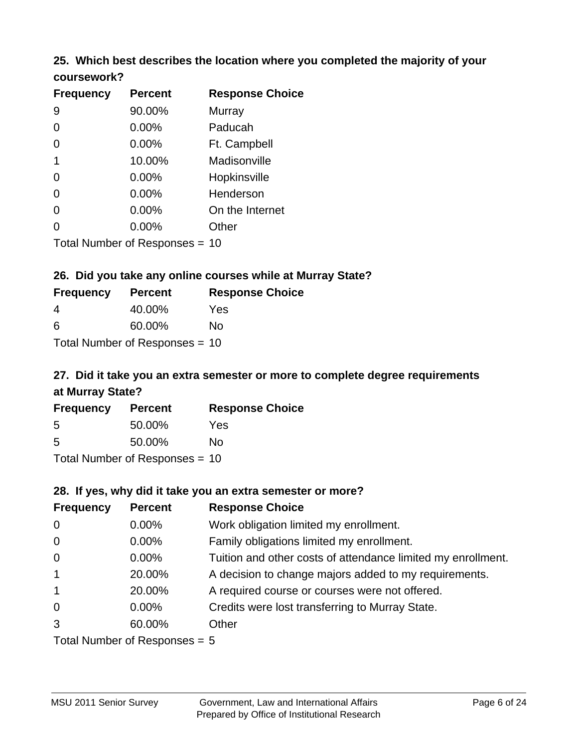#### **25. Which best describes the location where you completed the majority of your coursework?**

| <b>Frequency</b> | <b>Percent</b>            | <b>Response Choice</b> |
|------------------|---------------------------|------------------------|
| 9                | 90.00%                    | Murray                 |
| 0                | 0.00%                     | Paducah                |
| 0                | 0.00%                     | Ft. Campbell           |
| 1                | 10.00%                    | Madisonville           |
| 0                | 0.00%                     | Hopkinsville           |
| 0                | $0.00\%$                  | Henderson              |
| 0                | 0.00%                     | On the Internet        |
| 0                | 0.00%                     | Other                  |
|                  | Total Number of Perponsec |                        |

Total Number of Responses = 10

#### **26. Did you take any online courses while at Murray State?**

| <b>Frequency</b> | <b>Percent</b>                 | <b>Response Choice</b> |
|------------------|--------------------------------|------------------------|
| -4               | 40.00%                         | Yes                    |
| -6               | 60.00%                         | Nο                     |
|                  | Total Number of Responses = 10 |                        |

### **27. Did it take you an extra semester or more to complete degree requirements at Murray State?**

| <b>Frequency</b> | <b>Percent</b>                 | <b>Response Choice</b> |
|------------------|--------------------------------|------------------------|
| .5               | 50.00%                         | Yes                    |
| .5               | 50.00%                         | No                     |
|                  | Total Number of Responses = 10 |                        |

#### **28. If yes, why did it take you an extra semester or more?**

| <b>Frequency</b>                | <b>Percent</b> | <b>Response Choice</b>                                       |  |
|---------------------------------|----------------|--------------------------------------------------------------|--|
| $\mathbf 0$                     | $0.00\%$       | Work obligation limited my enrollment.                       |  |
| $\mathbf 0$                     | $0.00\%$       | Family obligations limited my enrollment.                    |  |
| $\mathbf 0$                     | $0.00\%$       | Tuition and other costs of attendance limited my enrollment. |  |
| $\overline{1}$                  | 20.00%         | A decision to change majors added to my requirements.        |  |
| $\mathbf{1}$                    | 20.00%         | A required course or courses were not offered.               |  |
| $\mathbf 0$                     | $0.00\%$       | Credits were lost transferring to Murray State.              |  |
| 3                               | 60.00%         | Other                                                        |  |
| Total Number of Responses $= 5$ |                |                                                              |  |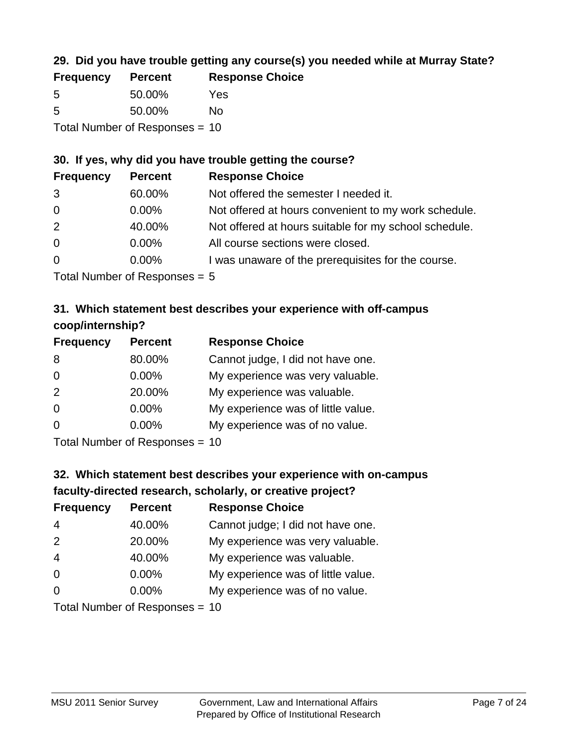### **29. Did you have trouble getting any course(s) you needed while at Murray State?**

| <b>Frequency</b> | <b>Percent</b>                 | <b>Response Choice</b> |
|------------------|--------------------------------|------------------------|
| -5               | 50.00%                         | Yes                    |
| -5               | 50.00%                         | Nο                     |
|                  | Total Number of Responses = 10 |                        |

#### **30. If yes, why did you have trouble getting the course?**

| <b>Frequency</b> | <b>Percent</b> | <b>Response Choice</b>                                |
|------------------|----------------|-------------------------------------------------------|
| 3                | 60.00%         | Not offered the semester I needed it.                 |
| $\overline{0}$   | $0.00\%$       | Not offered at hours convenient to my work schedule.  |
| 2                | 40.00%         | Not offered at hours suitable for my school schedule. |
| $\overline{0}$   | $0.00\%$       | All course sections were closed.                      |
| $\overline{0}$   | $0.00\%$       | I was unaware of the prerequisites for the course.    |
|                  |                |                                                       |

Total Number of Responses = 5

### **31. Which statement best describes your experience with off-campus coop/internship?**

| <b>Frequency</b> | <b>Percent</b> | <b>Response Choice</b>             |
|------------------|----------------|------------------------------------|
| 8                | 80.00%         | Cannot judge, I did not have one.  |
| $\Omega$         | 0.00%          | My experience was very valuable.   |
| 2                | 20.00%         | My experience was valuable.        |
| $\Omega$         | $0.00\%$       | My experience was of little value. |
| $\Omega$         | 0.00%          | My experience was of no value.     |
|                  |                |                                    |

Total Number of Responses = 10

# **32. Which statement best describes your experience with on-campus faculty-directed research, scholarly, or creative project?**

| <b>Frequency</b> | <b>Percent</b>                | <b>Response Choice</b>             |
|------------------|-------------------------------|------------------------------------|
| 4                | 40.00%                        | Cannot judge; I did not have one.  |
| 2                | 20.00%                        | My experience was very valuable.   |
| $\overline{4}$   | 40.00%                        | My experience was valuable.        |
| $\Omega$         | $0.00\%$                      | My experience was of little value. |
| $\Omega$         | 0.00%                         | My experience was of no value.     |
|                  | Total Number of Deconomers 40 |                                    |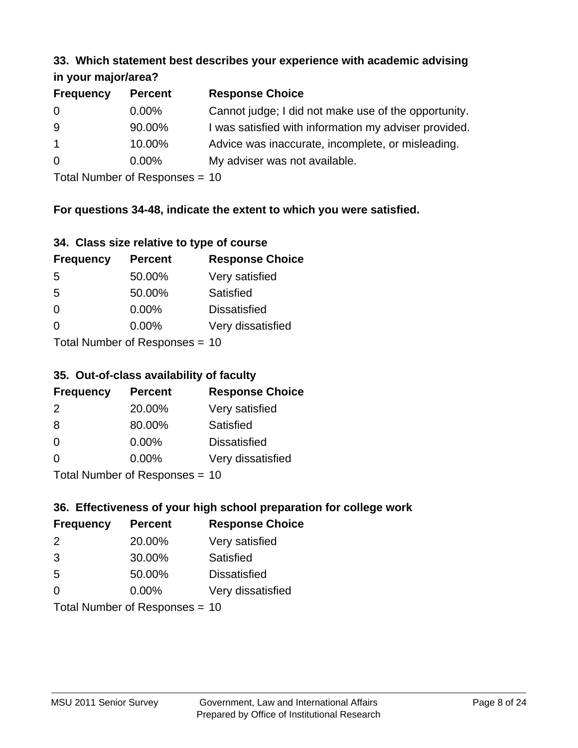#### **33. Which statement best describes your experience with academic advising in your major/area?**

| $\cdots$ your mapproved. |                |                                                       |
|--------------------------|----------------|-------------------------------------------------------|
| <b>Frequency</b>         | <b>Percent</b> | <b>Response Choice</b>                                |
| 0                        | $0.00\%$       | Cannot judge; I did not make use of the opportunity.  |
| 9                        | 90.00%         | I was satisfied with information my adviser provided. |
| $\overline{1}$           | 10.00%         | Advice was inaccurate, incomplete, or misleading.     |
| 0                        | $0.00\%$       | My adviser was not available.                         |
|                          |                |                                                       |

Total Number of Responses = 10

### **For questions 34-48, indicate the extent to which you were satisfied.**

| 34. Class size relative to type of course |  |  |  |  |  |  |  |  |
|-------------------------------------------|--|--|--|--|--|--|--|--|
|-------------------------------------------|--|--|--|--|--|--|--|--|

| <b>Frequency</b>               | <b>Percent</b> | <b>Response Choice</b> |  |
|--------------------------------|----------------|------------------------|--|
| -5                             | 50.00%         | Very satisfied         |  |
| 5                              | 50.00%         | Satisfied              |  |
| $\Omega$                       | $0.00\%$       | <b>Dissatisfied</b>    |  |
| $\Omega$                       | $0.00\%$       | Very dissatisfied      |  |
| Total Number of Responses - 10 |                |                        |  |

Total Number of Responses = 10

### **35. Out-of-class availability of faculty**

| <b>Frequency</b> | <b>Percent</b>            | <b>Response Choice</b> |
|------------------|---------------------------|------------------------|
| $\mathcal{P}$    | 20.00%                    | Very satisfied         |
| 8                | 80.00%                    | Satisfied              |
| $\Omega$         | $0.00\%$                  | <b>Dissatisfied</b>    |
| $\Omega$         | 0.00%                     | Very dissatisfied      |
|                  | Total Number of Desponses |                        |

Total Number of Responses = 10

### **36. Effectiveness of your high school preparation for college work**

| <b>Frequency</b> | <b>Percent</b>                 | <b>Response Choice</b> |
|------------------|--------------------------------|------------------------|
| 2                | 20.00%                         | Very satisfied         |
| 3                | 30.00%                         | Satisfied              |
| 5                | 50.00%                         | <b>Dissatisfied</b>    |
| $\Omega$         | 0.00%                          | Very dissatisfied      |
|                  | Total Number of Responses = 10 |                        |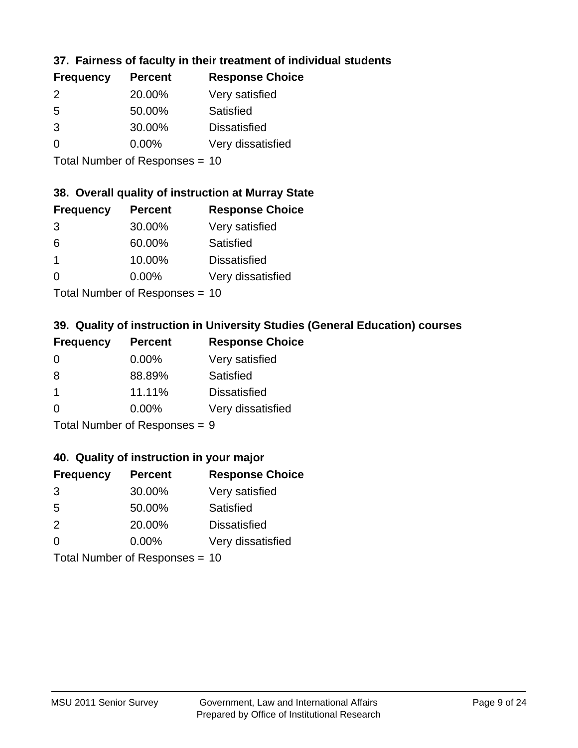### **37. Fairness of faculty in their treatment of individual students**

| <b>Frequency</b> | <b>Percent</b> | <b>Response Choice</b> |
|------------------|----------------|------------------------|
| $\mathcal{P}$    | 20.00%         | Very satisfied         |
| .5               | 50.00%         | Satisfied              |
| 3                | 30.00%         | <b>Dissatisfied</b>    |
| $\Omega$         | $0.00\%$       | Very dissatisfied      |
|                  |                |                        |

Total Number of Responses = 10

#### **38. Overall quality of instruction at Murray State**

| <b>Frequency</b> | <b>Percent</b> | <b>Response Choice</b> |
|------------------|----------------|------------------------|
| 3                | 30.00%         | Very satisfied         |
| 6                | 60.00%         | Satisfied              |
| -1               | 10.00%         | <b>Dissatisfied</b>    |
| $\Omega$         | 0.00%          | Very dissatisfied      |
|                  |                |                        |

Total Number of Responses = 10

### **39. Quality of instruction in University Studies (General Education) courses**

| <b>Frequency</b> | <b>Percent</b>               | <b>Response Choice</b> |
|------------------|------------------------------|------------------------|
| $\Omega$         | 0.00%                        | Very satisfied         |
| 8                | 88.89%                       | Satisfied              |
| -1               | 11.11%                       | <b>Dissatisfied</b>    |
| $\Omega$         | 0.00%                        | Very dissatisfied      |
|                  | $\tau$ . The state of $\sim$ |                        |

Total Number of Responses = 9

#### **40. Quality of instruction in your major**

| <b>Frequency</b>          | <b>Percent</b> | <b>Response Choice</b> |
|---------------------------|----------------|------------------------|
| 3                         | 30.00%         | Very satisfied         |
| 5                         | 50.00%         | Satisfied              |
| 2                         | 20.00%         | <b>Dissatisfied</b>    |
| $\Omega$                  | 0.00%          | Very dissatisfied      |
| Total Number of Deepersee |                |                        |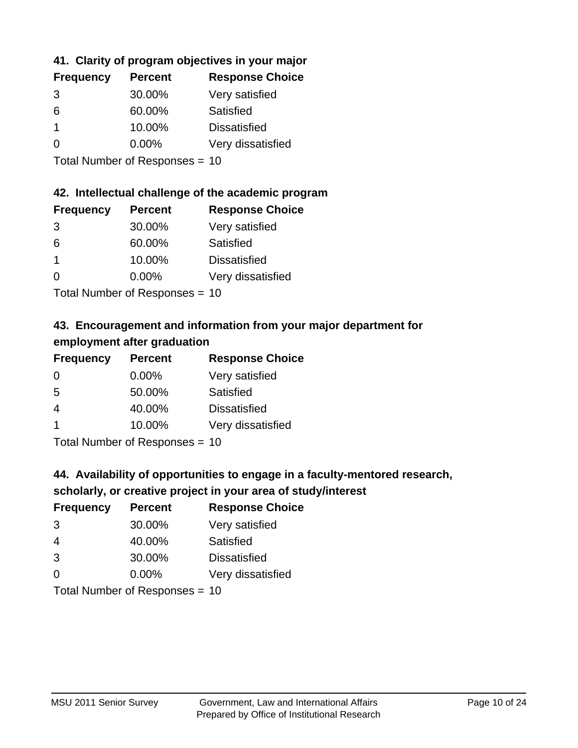### **41. Clarity of program objectives in your major**

| <b>Frequency</b> | <b>Percent</b> | <b>Response Choice</b> |
|------------------|----------------|------------------------|
| 3                | 30.00%         | Very satisfied         |
| 6                | 60.00%         | Satisfied              |
|                  | 10.00%         | <b>Dissatisfied</b>    |
| O                | $0.00\%$       | Very dissatisfied      |
|                  |                |                        |

Total Number of Responses = 10

#### **42. Intellectual challenge of the academic program**

| <b>Frequency</b> | <b>Percent</b> | <b>Response Choice</b> |
|------------------|----------------|------------------------|
| 3                | 30.00%         | Very satisfied         |
| 6                | 60.00%         | Satisfied              |
|                  | 10.00%         | <b>Dissatisfied</b>    |
| $\Omega$         | 0.00%          | Very dissatisfied      |
|                  |                |                        |

Total Number of Responses = 10

### **43. Encouragement and information from your major department for employment after graduation**

| <b>Frequency</b>     | <b>Percent</b>             | <b>Response Choice</b> |
|----------------------|----------------------------|------------------------|
| 0                    | $0.00\%$                   | Very satisfied         |
| 5                    | 50.00%                     | Satisfied              |
| $\overline{4}$       | 40.00%                     | <b>Dissatisfied</b>    |
| $\blacktriangleleft$ | 10.00%                     | Very dissatisfied      |
|                      | Tatal Manakan af Dannannan |                        |

Total Number of Responses = 10

# **44. Availability of opportunities to engage in a faculty-mentored research,**

### **scholarly, or creative project in your area of study/interest**

| <b>Frequency</b> | <b>Percent</b>                                                                                                  | <b>Response Choice</b> |
|------------------|-----------------------------------------------------------------------------------------------------------------|------------------------|
| 3                | 30.00%                                                                                                          | Very satisfied         |
| 4                | 40.00%                                                                                                          | Satisfied              |
| 3                | 30.00%                                                                                                          | <b>Dissatisfied</b>    |
| $\Omega$         | 0.00%                                                                                                           | Very dissatisfied      |
|                  | The Little and the Little Communication of the Communication of the Communication of the Communication of the U |                        |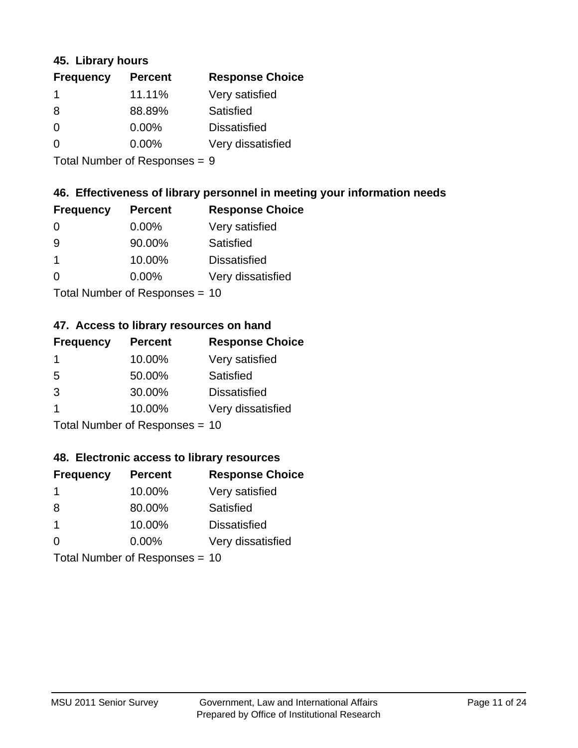#### **45. Library hours**

| <b>Frequency</b> | <b>Percent</b> | <b>Response Choice</b> |
|------------------|----------------|------------------------|
|                  | 11.11%         | Very satisfied         |
| 8                | 88.89%         | Satisfied              |
| $\Omega$         | 0.00%          | <b>Dissatisfied</b>    |
| $\Omega$         | 0.00%          | Very dissatisfied      |
|                  |                |                        |

Total Number of Responses = 9

#### **46. Effectiveness of library personnel in meeting your information needs**

| <b>Frequency</b> | <b>Percent</b> | <b>Response Choice</b> |
|------------------|----------------|------------------------|
| 0                | $0.00\%$       | Very satisfied         |
| 9                | 90.00%         | Satisfied              |
|                  | 10.00%         | <b>Dissatisfied</b>    |
| $\Omega$         | 0.00%          | Very dissatisfied      |
|                  |                |                        |

Total Number of Responses = 10

#### **47. Access to library resources on hand**

| <b>Frequency</b> | <b>Percent</b>            | <b>Response Choice</b> |
|------------------|---------------------------|------------------------|
| -1               | 10.00%                    | Very satisfied         |
| 5                | 50.00%                    | Satisfied              |
| 3                | 30.00%                    | <b>Dissatisfied</b>    |
|                  | 10.00%                    | Very dissatisfied      |
|                  | Total Number of Deepersee |                        |

Total Number of Responses = 10

#### **48. Electronic access to library resources**

| <b>Frequency</b> | <b>Percent</b>                 | <b>Response Choice</b> |
|------------------|--------------------------------|------------------------|
| 1                | 10.00%                         | Very satisfied         |
| 8                | 80.00%                         | Satisfied              |
| -1               | 10.00%                         | <b>Dissatisfied</b>    |
| $\Omega$         | $0.00\%$                       | Very dissatisfied      |
|                  | Total Number of Responses = 10 |                        |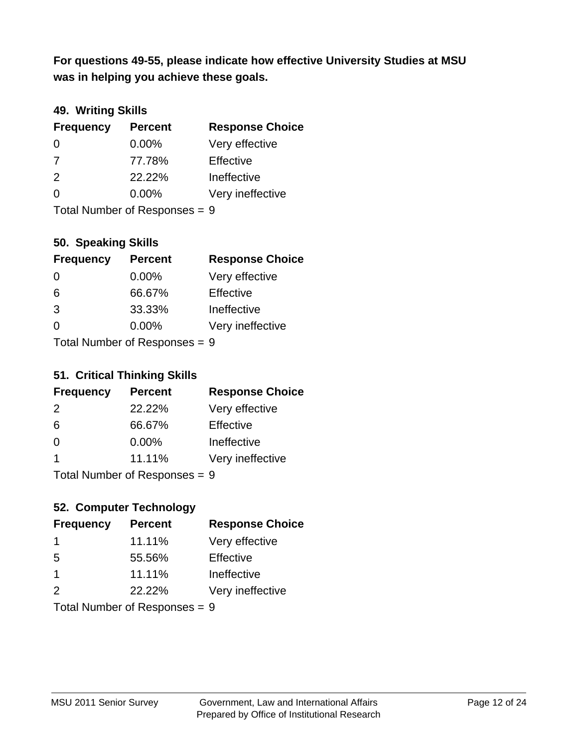**was in helping you achieve these goals. For questions 49-55, please indicate how effective University Studies at MSU** 

### **49. Writing Skills**

| <b>Frequency</b>              | <b>Percent</b> | <b>Response Choice</b> |
|-------------------------------|----------------|------------------------|
| $\Omega$                      | $0.00\%$       | Very effective         |
| 7                             | 77.78%         | Effective              |
| 2                             | 22.22%         | Ineffective            |
| $\Omega$                      | $0.00\%$       | Very ineffective       |
| Total Number of Responses = 9 |                |                        |

### **50. Speaking Skills**

| <b>Frequency</b>          | <b>Percent</b> | <b>Response Choice</b> |
|---------------------------|----------------|------------------------|
| $\Omega$                  | $0.00\%$       | Very effective         |
| 6                         | 66.67%         | Effective              |
| 3                         | 33.33%         | Ineffective            |
| $\Omega$                  | 0.00%          | Very ineffective       |
| Total Number of Desponses |                |                        |

Total Number of Responses = 9

### **51. Critical Thinking Skills**

| <b>Frequency</b> | <b>Percent</b>                                                                                                                                                                                                                 | <b>Response Choice</b> |
|------------------|--------------------------------------------------------------------------------------------------------------------------------------------------------------------------------------------------------------------------------|------------------------|
| $\mathcal{P}$    | 22.22%                                                                                                                                                                                                                         | Very effective         |
| 6                | 66.67%                                                                                                                                                                                                                         | Effective              |
| $\Omega$         | $0.00\%$                                                                                                                                                                                                                       | Ineffective            |
| $\overline{1}$   | 11.11%                                                                                                                                                                                                                         | Very ineffective       |
|                  | The INSTRUCTION of Production and the Production of the Production of the Production of the U.S. of the U.S. of the U.S. of the U.S. of the U.S. of the U.S. of the U.S. of the U.S. of the U.S. of the U.S. of the U.S. of th |                        |

Total Number of Responses = 9

### **52. Computer Technology**

| <b>Frequency</b> | <b>Percent</b>                  | <b>Response Choice</b> |
|------------------|---------------------------------|------------------------|
| -1               | 11.11%                          | Very effective         |
| .5               | 55.56%                          | Effective              |
| $\overline{1}$   | 11.11%                          | Ineffective            |
| $\mathcal{P}$    | 22.22%                          | Very ineffective       |
|                  | Total Number of Poenonces $= 0$ |                        |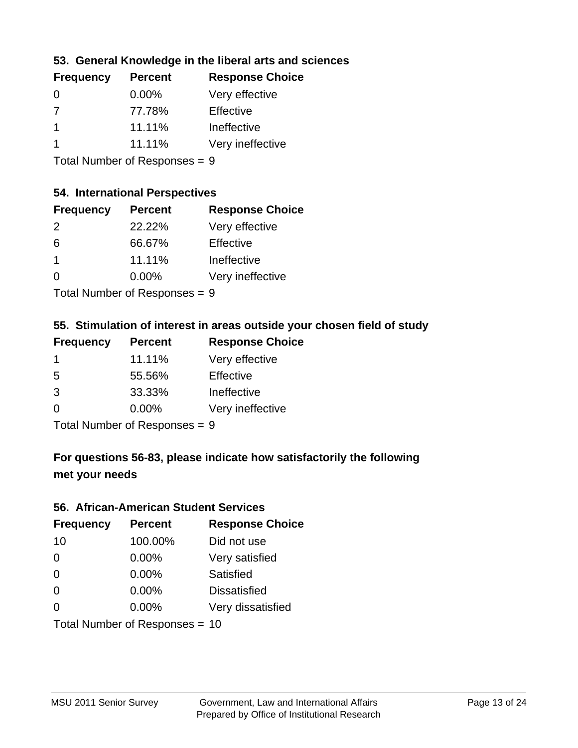### **53. General Knowledge in the liberal arts and sciences**

Total Number of Responses = 9

### **54. International Perspectives**

| <b>Frequency</b> | <b>Percent</b> | <b>Response Choice</b> |
|------------------|----------------|------------------------|
| $\mathcal{P}$    | 22.22%         | Very effective         |
| 6                | 66.67%         | Effective              |
| 1                | 11.11%         | Ineffective            |
| ∩                | 0.00%          | Very ineffective       |
|                  |                |                        |

Total Number of Responses = 9

### **55. Stimulation of interest in areas outside your chosen field of study**

| <b>Frequency</b> | <b>Percent</b>             | <b>Response Choice</b> |
|------------------|----------------------------|------------------------|
| -1               | 11.11%                     | Very effective         |
| -5               | 55.56%                     | Effective              |
| 3                | 33.33%                     | Ineffective            |
| $\Omega$         | 0.00%                      | Very ineffective       |
|                  | Tetal Number of Desperance |                        |

Total Number of Responses = 9

# **For questions 56-83, please indicate how satisfactorily the following met your needs**

#### **56. African-American Student Services**

| <b>Frequency</b> | <b>Percent</b>                 | <b>Response Choice</b> |
|------------------|--------------------------------|------------------------|
| 10               | 100.00%                        | Did not use            |
| $\Omega$         | 0.00%                          | Very satisfied         |
| $\Omega$         | 0.00%                          | Satisfied              |
| $\Omega$         | $0.00\%$                       | <b>Dissatisfied</b>    |
| $\Omega$         | 0.00%                          | Very dissatisfied      |
|                  | Total Number of Responses = 10 |                        |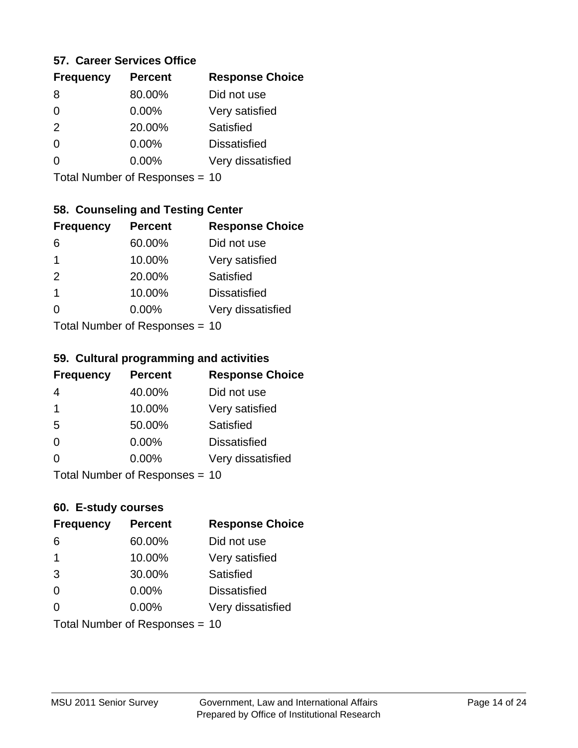#### **57. Career Services Office**

| <b>Frequency</b> | <b>Percent</b> | <b>Response Choice</b> |
|------------------|----------------|------------------------|
| 8                | 80.00%         | Did not use            |
| 0                | $0.00\%$       | Very satisfied         |
| 2                | 20.00%         | Satisfied              |
| 0                | $0.00\%$       | <b>Dissatisfied</b>    |
|                  | $0.00\%$       | Very dissatisfied      |
|                  |                |                        |

Total Number of Responses = 10

### **58. Counseling and Testing Center**

| <b>Frequency</b>                       | <b>Percent</b> | <b>Response Choice</b> |
|----------------------------------------|----------------|------------------------|
| 6                                      | 60.00%         | Did not use            |
| 1                                      | 10.00%         | Very satisfied         |
| 2                                      | 20.00%         | Satisfied              |
| 1                                      | 10.00%         | <b>Dissatisfied</b>    |
| 0                                      | 0.00%          | Very dissatisfied      |
| $Total Number of Denonce -\frac{1}{2}$ |                |                        |

Total Number of Responses = 10

#### **59. Cultural programming and activities**

| <b>Frequency</b> | <b>Percent</b>                 | <b>Response Choice</b> |
|------------------|--------------------------------|------------------------|
| 4                | 40.00%                         | Did not use            |
| -1               | 10.00%                         | Very satisfied         |
| 5                | 50.00%                         | Satisfied              |
| $\Omega$         | $0.00\%$                       | <b>Dissatisfied</b>    |
| $\Omega$         | $0.00\%$                       | Very dissatisfied      |
|                  | Total Number of Responses = 10 |                        |

#### **60. E-study courses**

| <b>Frequency</b> | <b>Percent</b>                 | <b>Response Choice</b> |
|------------------|--------------------------------|------------------------|
| 6                | 60.00%                         | Did not use            |
| -1               | 10.00%                         | Very satisfied         |
| 3                | 30.00%                         | Satisfied              |
| $\Omega$         | 0.00%                          | <b>Dissatisfied</b>    |
| ∩                | $0.00\%$                       | Very dissatisfied      |
|                  | Total Number of Responses = 10 |                        |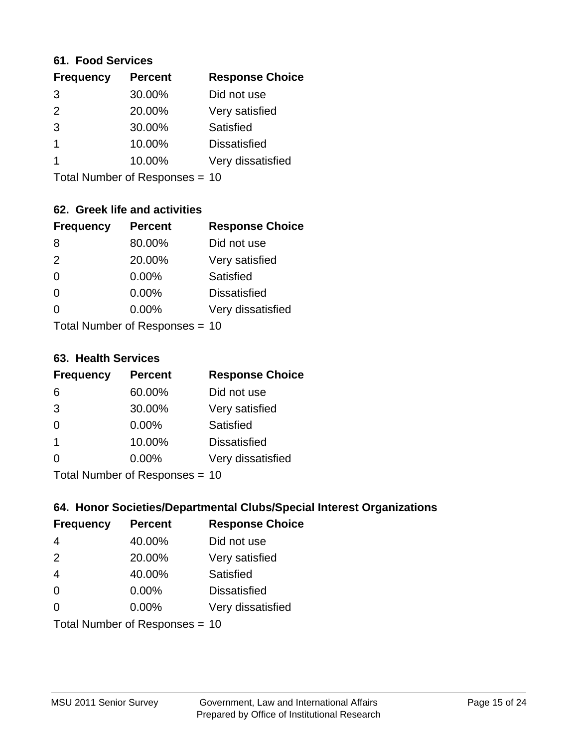#### **61. Food Services**

| <b>Frequency</b> | <b>Percent</b> | <b>Response Choice</b> |
|------------------|----------------|------------------------|
| 3                | 30.00%         | Did not use            |
| $\mathcal{P}$    | 20.00%         | Very satisfied         |
| 3                | 30.00%         | Satisfied              |
|                  | 10.00%         | <b>Dissatisfied</b>    |
|                  | 10.00%         | Very dissatisfied      |
|                  |                |                        |

Total Number of Responses = 10

### **62. Greek life and activities**

| <b>Frequency</b> | <b>Percent</b>                 | <b>Response Choice</b> |
|------------------|--------------------------------|------------------------|
| 8                | 80.00%                         | Did not use            |
| 2                | 20.00%                         | Very satisfied         |
| $\Omega$         | 0.00%                          | Satisfied              |
| $\Omega$         | 0.00%                          | <b>Dissatisfied</b>    |
| 0                | $0.00\%$                       | Very dissatisfied      |
|                  | Total Number of Responses = 10 |                        |

**63. Health Services**

| <b>Frequency</b>          | <b>Percent</b> | <b>Response Choice</b> |
|---------------------------|----------------|------------------------|
| 6                         | 60.00%         | Did not use            |
| 3                         | 30.00%         | Very satisfied         |
| $\Omega$                  | $0.00\%$       | <b>Satisfied</b>       |
| $\overline{\mathbf{1}}$   | 10.00%         | <b>Dissatisfied</b>    |
| $\Omega$                  | 0.00%          | Very dissatisfied      |
| Total Number of Desponses |                |                        |

Total Number of Responses = 10

### **64. Honor Societies/Departmental Clubs/Special Interest Organizations**

| <b>Frequency</b> | <b>Percent</b>                 | <b>Response Choice</b> |
|------------------|--------------------------------|------------------------|
| $\overline{4}$   | 40.00%                         | Did not use            |
| 2                | 20.00%                         | Very satisfied         |
| $\overline{4}$   | 40.00%                         | Satisfied              |
| $\Omega$         | $0.00\%$                       | <b>Dissatisfied</b>    |
| $\Omega$         | 0.00%                          | Very dissatisfied      |
|                  | Total Number of Responses = 10 |                        |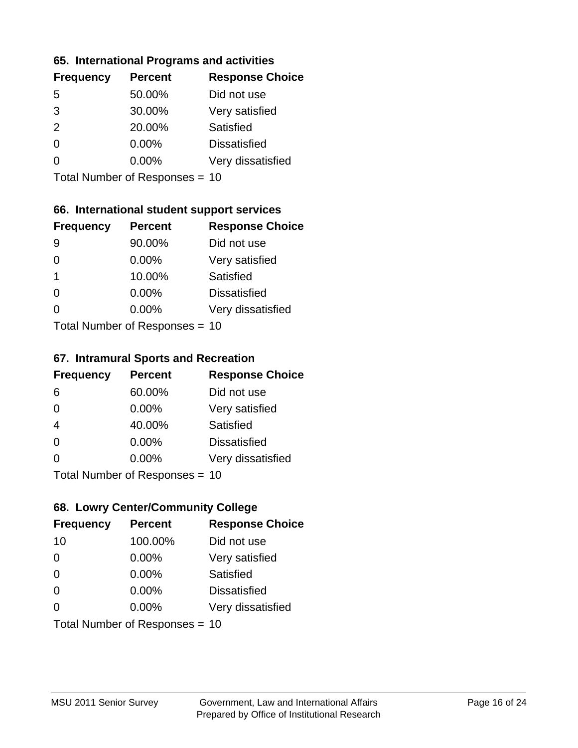#### **65. International Programs and activities**

| <b>Frequency</b> | <b>Percent</b> | <b>Response Choice</b> |
|------------------|----------------|------------------------|
| .5               | 50.00%         | Did not use            |
| 3                | 30.00%         | Very satisfied         |
| 2                | 20.00%         | <b>Satisfied</b>       |
| O                | 0.00%          | <b>Dissatisfied</b>    |
|                  | $0.00\%$       | Very dissatisfied      |
|                  |                |                        |

Total Number of Responses = 10

### **66. International student support services**

| <b>Frequency</b>           | <b>Percent</b> | <b>Response Choice</b> |
|----------------------------|----------------|------------------------|
| 9                          | 90.00%         | Did not use            |
| 0                          | 0.00%          | Very satisfied         |
| 1                          | 10.00%         | Satisfied              |
| ∩                          | 0.00%          | <b>Dissatisfied</b>    |
| 0                          | 0.00%          | Very dissatisfied      |
| Total Number of Deepersoon |                |                        |

Total Number of Responses = 10

#### **67. Intramural Sports and Recreation**

| <b>Frequency</b> | <b>Percent</b>                  | <b>Response Choice</b> |
|------------------|---------------------------------|------------------------|
| 6                | 60.00%                          | Did not use            |
| $\Omega$         | $0.00\%$                        | Very satisfied         |
| $\overline{4}$   | 40.00%                          | <b>Satisfied</b>       |
| $\Omega$         | $0.00\%$                        | <b>Dissatisfied</b>    |
| $\Omega$         | $0.00\%$                        | Very dissatisfied      |
|                  | Total Number of Poenances $-10$ |                        |

Total Number of Responses = 10

### **68. Lowry Center/Community College**

| <b>Frequency</b> | <b>Percent</b>                 | <b>Response Choice</b> |
|------------------|--------------------------------|------------------------|
| 10               | 100.00%                        | Did not use            |
| 0                | 0.00%                          | Very satisfied         |
| $\Omega$         | 0.00%                          | Satisfied              |
| $\Omega$         | $0.00\%$                       | <b>Dissatisfied</b>    |
| 0                | $0.00\%$                       | Very dissatisfied      |
|                  | Total Number of Responses = 10 |                        |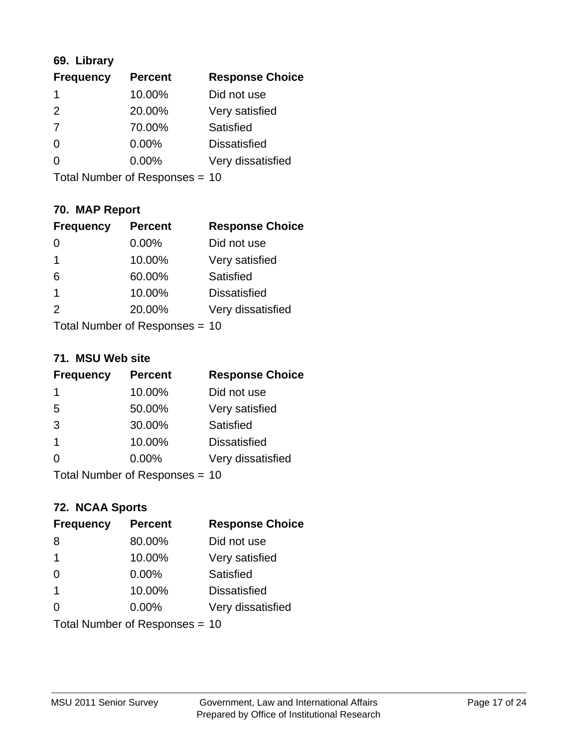### **69. Library**

| <b>Frequency</b> | <b>Percent</b> | <b>Response Choice</b> |
|------------------|----------------|------------------------|
|                  | 10.00%         | Did not use            |
| $\mathcal{P}$    | 20.00%         | Very satisfied         |
| 7                | 70.00%         | <b>Satisfied</b>       |
| $\Omega$         | 0.00%          | <b>Dissatisfied</b>    |
| O                | 0.00%          | Very dissatisfied      |
|                  |                |                        |

Total Number of Responses = 10

### **70. MAP Report**

| <b>Frequency</b> | <b>Percent</b>                 | <b>Response Choice</b> |
|------------------|--------------------------------|------------------------|
|                  | 0.00%                          | Did not use            |
| 1                | 10.00%                         | Very satisfied         |
| 6                | 60.00%                         | Satisfied              |
| $\overline{1}$   | 10.00%                         | <b>Dissatisfied</b>    |
| $\mathcal{P}$    | 20.00%                         | Very dissatisfied      |
|                  | Total Number of Responses = 10 |                        |

#### **71. MSU Web site**

| <b>Frequency</b>               | <b>Percent</b> | <b>Response Choice</b> |
|--------------------------------|----------------|------------------------|
| 1                              | 10.00%         | Did not use            |
| 5                              | 50.00%         | Very satisfied         |
| 3                              | 30.00%         | Satisfied              |
| -1                             | 10.00%         | <b>Dissatisfied</b>    |
| ∩                              | $0.00\%$       | Very dissatisfied      |
| Total Number of Responses = 10 |                |                        |

# **72. NCAA Sports**

| <b>Frequency</b>               | <b>Percent</b> | <b>Response Choice</b> |
|--------------------------------|----------------|------------------------|
| 8                              | 80.00%         | Did not use            |
| $\mathbf 1$                    | 10.00%         | Very satisfied         |
| $\Omega$                       | 0.00%          | <b>Satisfied</b>       |
| -1                             | 10.00%         | <b>Dissatisfied</b>    |
| $\Omega$                       | 0.00%          | Very dissatisfied      |
| Total Number of Responses = 10 |                |                        |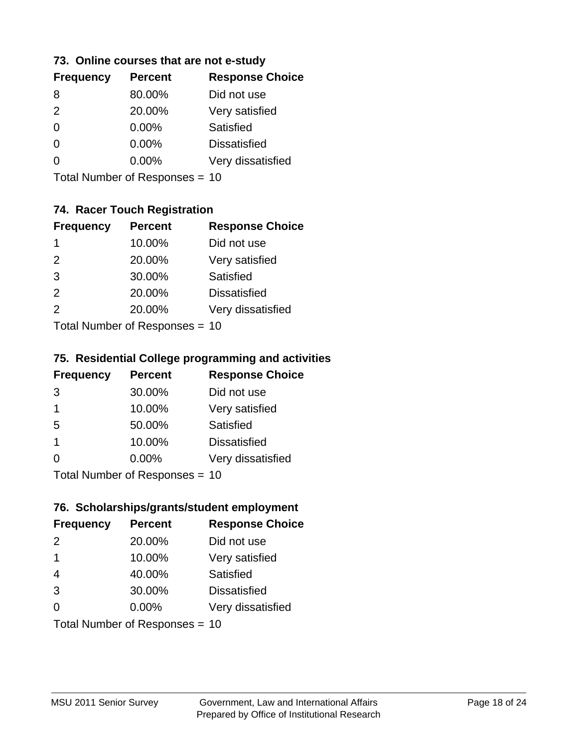#### **73. Online courses that are not e-study**

| <b>Frequency</b> | <b>Percent</b> | <b>Response Choice</b> |
|------------------|----------------|------------------------|
| 8                | 80.00%         | Did not use            |
| 2                | 20.00%         | Very satisfied         |
| 0                | $0.00\%$       | Satisfied              |
| 0                | $0.00\%$       | <b>Dissatisfied</b>    |
|                  | $0.00\%$       | Very dissatisfied      |
|                  |                |                        |

Total Number of Responses = 10

### **74. Racer Touch Registration**

| <b>Frequency</b>           | <b>Percent</b> | <b>Response Choice</b> |  |
|----------------------------|----------------|------------------------|--|
| 1                          | 10.00%         | Did not use            |  |
| $\mathcal{P}$              | 20.00%         | Very satisfied         |  |
| 3                          | 30.00%         | <b>Satisfied</b>       |  |
| 2                          | 20.00%         | <b>Dissatisfied</b>    |  |
| $\mathcal{P}$              | 20.00%         | Very dissatisfied      |  |
| Total Number of Desperance |                |                        |  |

Total Number of Responses = 10

#### **75. Residential College programming and activities**

| <b>Frequency</b> | <b>Percent</b>            | <b>Response Choice</b> |
|------------------|---------------------------|------------------------|
| 3                | 30.00%                    | Did not use            |
| -1               | 10.00%                    | Very satisfied         |
| 5                | 50.00%                    | <b>Satisfied</b>       |
| -1               | 10.00%                    | <b>Dissatisfied</b>    |
| $\Omega$         | 0.00%                     | Very dissatisfied      |
|                  | Total Number of Desponses |                        |

Total Number of Responses = 10

#### **76. Scholarships/grants/student employment**

| <b>Frequency</b> | <b>Percent</b>                 | <b>Response Choice</b> |
|------------------|--------------------------------|------------------------|
| 2                | 20.00%                         | Did not use            |
| $\overline{1}$   | 10.00%                         | Very satisfied         |
| $\overline{4}$   | 40.00%                         | Satisfied              |
| 3                | 30.00%                         | <b>Dissatisfied</b>    |
| $\Omega$         | 0.00%                          | Very dissatisfied      |
|                  | Total Number of Responses = 10 |                        |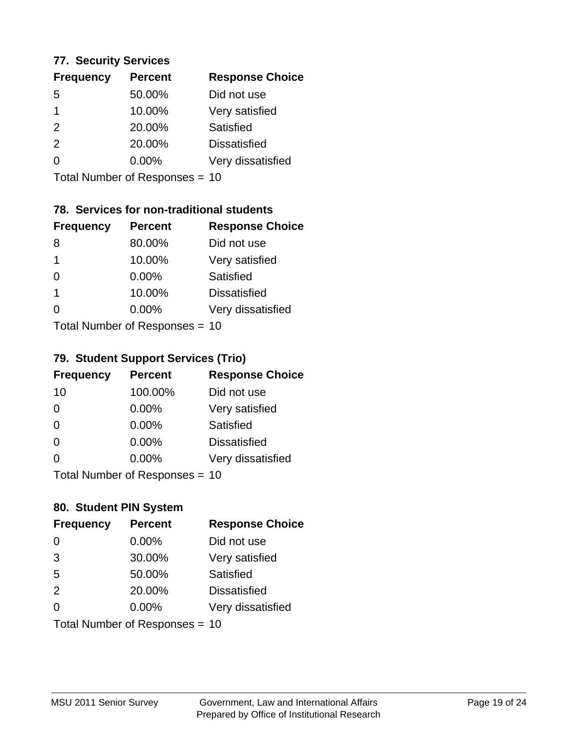#### **77. Security Services**

| <b>Frequency</b> | <b>Percent</b> | <b>Response Choice</b> |
|------------------|----------------|------------------------|
| 5                | 50.00%         | Did not use            |
|                  | 10.00%         | Very satisfied         |
| $\mathcal{P}$    | 20.00%         | Satisfied              |
| $\mathcal{P}$    | 20.00%         | <b>Dissatisfied</b>    |
| ∩                | $0.00\%$       | Very dissatisfied      |
|                  |                |                        |

Total Number of Responses = 10

### **78. Services for non-traditional students**

| <b>Frequency</b> | <b>Percent</b>                         | <b>Response Choice</b> |
|------------------|----------------------------------------|------------------------|
| 8                | 80.00%                                 | Did not use            |
| $\mathbf 1$      | 10.00%                                 | Very satisfied         |
| $\Omega$         | 0.00%                                  | <b>Satisfied</b>       |
| -1               | 10.00%                                 | <b>Dissatisfied</b>    |
| 0                | 0.00%                                  | Very dissatisfied      |
|                  | $Total Number of Denonce -\frac{1}{2}$ |                        |

Total Number of Responses = 10

#### **79. Student Support Services (Trio)**

| <b>Frequency</b> | <b>Percent</b>                  | <b>Response Choice</b> |
|------------------|---------------------------------|------------------------|
| 10               | 100.00%                         | Did not use            |
| $\Omega$         | $0.00\%$                        | Very satisfied         |
| $\Omega$         | $0.00\%$                        | <b>Satisfied</b>       |
| $\Omega$         | 0.00%                           | <b>Dissatisfied</b>    |
| $\Omega$         | 0.00%                           | Very dissatisfied      |
|                  | $Total Number of Denonose = 10$ |                        |

Total Number of Responses = 10

### **80. Student PIN System**

| <b>Frequency</b> | <b>Percent</b>                 | <b>Response Choice</b> |
|------------------|--------------------------------|------------------------|
| $\Omega$         | 0.00%                          | Did not use            |
| 3                | 30.00%                         | Very satisfied         |
| 5                | 50.00%                         | Satisfied              |
| 2                | 20.00%                         | <b>Dissatisfied</b>    |
| 0                | 0.00%                          | Very dissatisfied      |
|                  | Total Number of Responses = 10 |                        |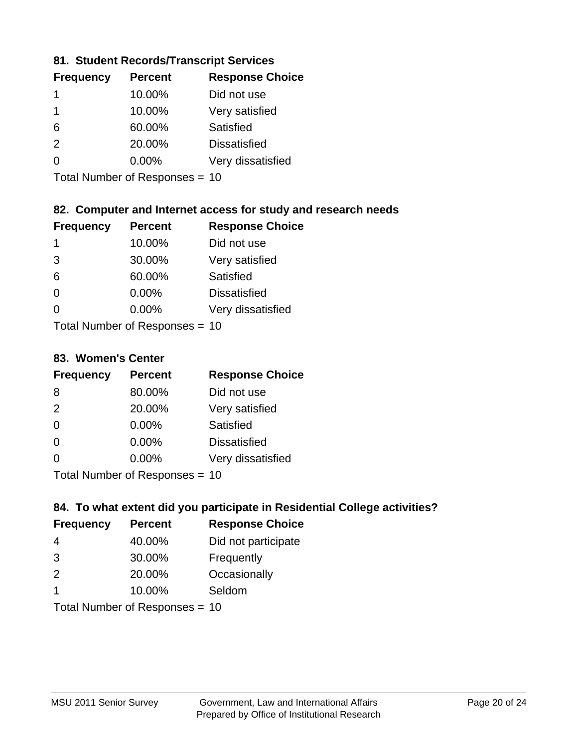### **81. Student Records/Transcript Services**

| <b>Frequency</b> | <b>Percent</b> | <b>Response Choice</b> |
|------------------|----------------|------------------------|
|                  | 10.00%         | Did not use            |
|                  | 10.00%         | Very satisfied         |
| 6                | 60.00%         | Satisfied              |
| $\mathcal{P}$    | 20.00%         | <b>Dissatisfied</b>    |
| ∩                | $0.00\%$       | Very dissatisfied      |

Total Number of Responses = 10

### **82. Computer and Internet access for study and research needs**

| <b>Frequency</b>           | <b>Percent</b> | <b>Response Choice</b> |  |
|----------------------------|----------------|------------------------|--|
| 1                          | 10.00%         | Did not use            |  |
| 3                          | 30.00%         | Very satisfied         |  |
| 6                          | 60.00%         | Satisfied              |  |
| $\Omega$                   | 0.00%          | <b>Dissatisfied</b>    |  |
| ∩                          | 0.00%          | Very dissatisfied      |  |
| Tatal Number of Desperance |                |                        |  |

Total Number of Responses = 10

#### **83. Women's Center**

| <b>Frequency</b>          | <b>Percent</b> | <b>Response Choice</b> |
|---------------------------|----------------|------------------------|
| 8                         | 80.00%         | Did not use            |
| 2                         | 20.00%         | Very satisfied         |
| $\Omega$                  | 0.00%          | Satisfied              |
| $\Omega$                  | 0.00%          | <b>Dissatisfied</b>    |
| $\Omega$                  | 0.00%          | Very dissatisfied      |
| Total Number of Deepersee |                |                        |

Total Number of Responses = 10

### **84. To what extent did you participate in Residential College activities?**

| <b>Frequency</b> | <b>Percent</b>            | <b>Response Choice</b> |  |
|------------------|---------------------------|------------------------|--|
| 4                | 40.00%                    | Did not participate    |  |
| 3                | 30.00%                    | Frequently             |  |
| $\mathcal{P}$    | 20.00%                    | Occasionally           |  |
| -1               | 10.00%                    | Seldom                 |  |
|                  | Total Number of Desponses |                        |  |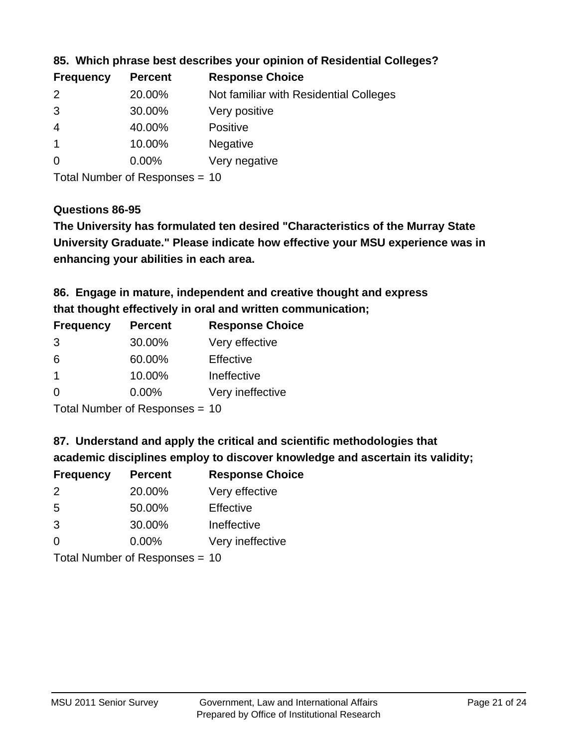| <b>Frequency</b> | <b>Percent</b> | <b>Response Choice</b>                 |
|------------------|----------------|----------------------------------------|
| $\mathcal{P}$    | 20.00%         | Not familiar with Residential Colleges |
| 3                | 30.00%         | Very positive                          |
| -4               | 40.00%         | <b>Positive</b>                        |
|                  | 10.00%         | <b>Negative</b>                        |
| -0               | $0.00\%$       | Very negative                          |
|                  |                |                                        |

**85. Which phrase best describes your opinion of Residential Colleges?**

Total Number of Responses = 10

#### **Questions 86-95**

**University Graduate." Please indicate how effective your MSU experience was in The University has formulated ten desired "Characteristics of the Murray State enhancing your abilities in each area.**

**86. Engage in mature, independent and creative thought and express that thought effectively in oral and written communication;**

| <b>Percent</b> | <b>Response Choice</b> |
|----------------|------------------------|
| 30.00%         | Very effective         |
| 60.00%         | Effective              |
| 10.00%         | Ineffective            |
| $0.00\%$       | Very ineffective       |
|                |                        |

Total Number of Responses = 10

**87. Understand and apply the critical and scientific methodologies that** 

**academic disciplines employ to discover knowledge and ascertain its validity;**

| <b>Frequency</b> | <b>Percent</b>                                                                                                                                                                                                                 | <b>Response Choice</b> |
|------------------|--------------------------------------------------------------------------------------------------------------------------------------------------------------------------------------------------------------------------------|------------------------|
| $\mathcal{P}$    | 20.00%                                                                                                                                                                                                                         | Very effective         |
| 5                | 50.00%                                                                                                                                                                                                                         | Effective              |
| 3                | 30.00%                                                                                                                                                                                                                         | Ineffective            |
| $\Omega$         | 0.00%                                                                                                                                                                                                                          | Very ineffective       |
|                  | The INDIAN Contract Contract in the Contract of The Contract of The Contract of The Contract of The Contract of The Contract of The Contract of The Contract of The Contract of The Contract of The Contract of The Contract o |                        |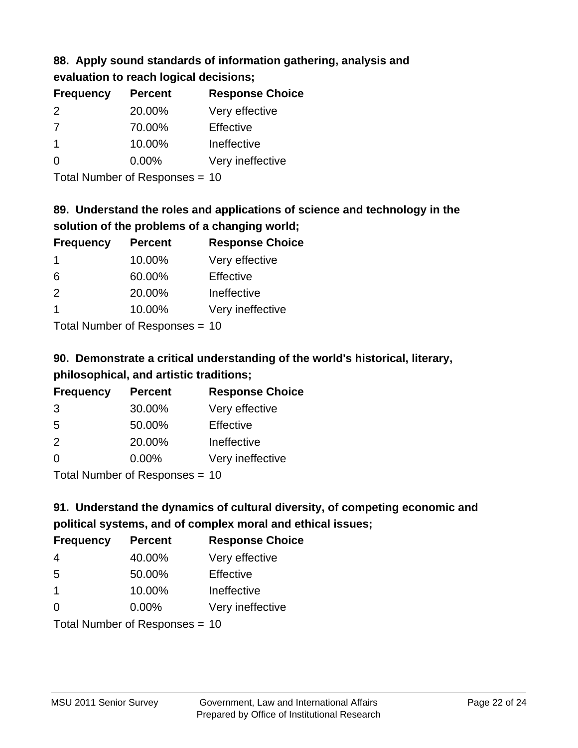# **88. Apply sound standards of information gathering, analysis and evaluation to reach logical decisions;**

| <b>Frequency</b> | <b>Percent</b> | <b>Response Choice</b> |
|------------------|----------------|------------------------|
| $\mathcal{P}$    | 20.00%         | Very effective         |
| 7                | 70.00%         | Effective              |
|                  | 10.00%         | Ineffective            |
| $\Omega$         | $0.00\%$       | Very ineffective       |
|                  |                |                        |

Total Number of Responses = 10

# **89. Understand the roles and applications of science and technology in the solution of the problems of a changing world;**

| <b>Frequency</b>                        | <b>Percent</b> | <b>Response Choice</b> |
|-----------------------------------------|----------------|------------------------|
| 1                                       | 10.00%         | Very effective         |
| 6                                       | 60.00%         | Effective              |
| 2                                       | 20.00%         | Ineffective            |
|                                         | 10.00%         | Very ineffective       |
| $T$ at all Message and $D$ are a second |                |                        |

Total Number of Responses = 10

# **90. Demonstrate a critical understanding of the world's historical, literary, philosophical, and artistic traditions;**

| <b>Frequency</b> | <b>Percent</b> | <b>Response Choice</b> |
|------------------|----------------|------------------------|
| 3                | 30.00%         | Very effective         |
| 5                | 50.00%         | Effective              |
| 2                | 20.00%         | Ineffective            |
| $\Omega$         | 0.00%          | Very ineffective       |
|                  |                |                        |

Total Number of Responses = 10

# **91. Understand the dynamics of cultural diversity, of competing economic and political systems, and of complex moral and ethical issues;**

| <b>Frequency</b> | <b>Percent</b>                 | <b>Response Choice</b> |
|------------------|--------------------------------|------------------------|
| 4                | 40.00%                         | Very effective         |
| 5                | 50.00%                         | Effective              |
| $\mathbf 1$      | 10.00%                         | Ineffective            |
| $\Omega$         | 0.00%                          | Very ineffective       |
|                  | Total Number of Responses = 10 |                        |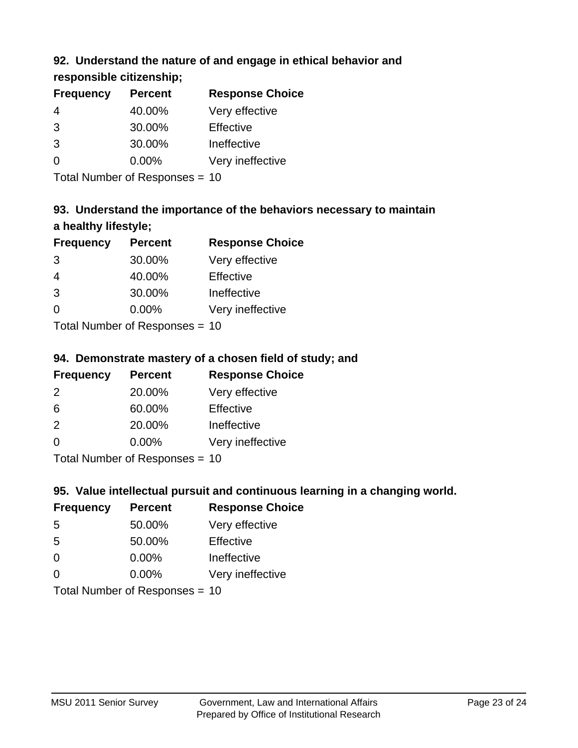### **92. Understand the nature of and engage in ethical behavior and**

### **responsible citizenship;**

| <b>Frequency</b> | <b>Percent</b> | <b>Response Choice</b> |
|------------------|----------------|------------------------|
| 4                | 40.00%         | Very effective         |
| 3                | 30.00%         | Effective              |
| 3                | 30.00%         | Ineffective            |
| $\Omega$         | $0.00\%$       | Very ineffective       |
|                  |                |                        |

Total Number of Responses = 10

# **93. Understand the importance of the behaviors necessary to maintain a healthy lifestyle;**

| <b>Frequency</b> | <b>Percent</b>             | <b>Response Choice</b> |
|------------------|----------------------------|------------------------|
| 3                | 30.00%                     | Very effective         |
| 4                | 40.00%                     | Effective              |
| 3                | 30.00%                     | Ineffective            |
| $\Omega$         | 0.00%                      | Very ineffective       |
|                  | Tatal Number of Desperance |                        |

Total Number of Responses = 10

### **94. Demonstrate mastery of a chosen field of study; and**

| <b>Frequency</b> | <b>Percent</b> | <b>Response Choice</b> |
|------------------|----------------|------------------------|
| $\mathcal{P}$    | 20.00%         | Very effective         |
| 6                | 60.00%         | Effective              |
| $\mathcal{P}$    | 20.00%         | Ineffective            |
| $\Omega$         | 0.00%          | Very ineffective       |
|                  |                |                        |

Total Number of Responses = 10

### **95. Value intellectual pursuit and continuous learning in a changing world.**

| <b>Frequency</b> | <b>Percent</b>               | <b>Response Choice</b> |
|------------------|------------------------------|------------------------|
| -5               | 50.00%                       | Very effective         |
| 5                | 50.00%                       | Effective              |
| $\Omega$         | 0.00%                        | Ineffective            |
| $\Omega$         | 0.00%                        | Very ineffective       |
|                  | $Total Number of Denonone -$ |                        |